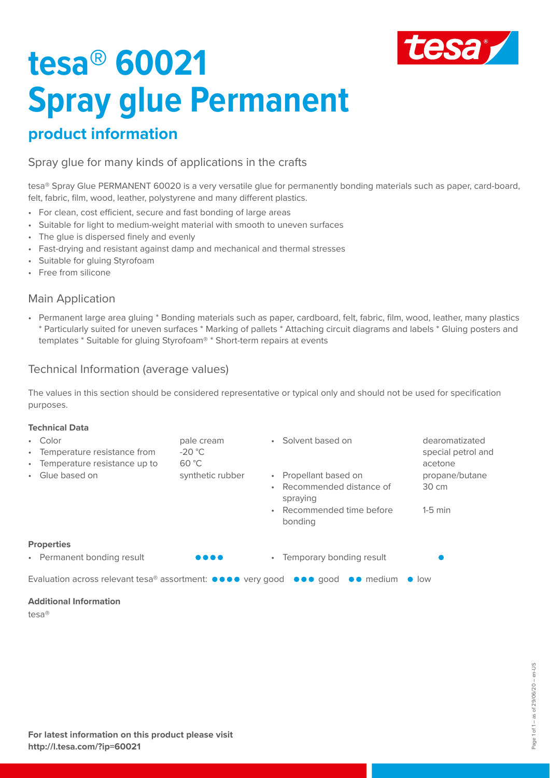

# **tesa® 60021 Spray glue Permanent**

### **product information**

Spray glue for many kinds of applications in the crafts

tesa® Spray Glue PERMANENT 60020 is a very versatile glue for permanently bonding materials such as paper, card-board, felt, fabric, film, wood, leather, polystyrene and many different plastics.

- For clean, cost efficient, secure and fast bonding of large areas
- Suitable for light to medium-weight material with smooth to uneven surfaces
- The glue is dispersed finely and evenly
- Fast-drying and resistant against damp and mechanical and thermal stresses
- Suitable for gluing Styrofoam
- Free from silicone

#### Main Application

• Permanent large area gluing \* Bonding materials such as paper, cardboard, felt, fabric, film, wood, leather, many plastics \* Particularly suited for uneven surfaces \* Marking of pallets \* Attaching circuit diagrams and labels \* Gluing posters and templates \* Suitable for gluing Styrofoam® \* Short-term repairs at events

### Technical Information (average values)

The values in this section should be considered representative or typical only and should not be used for specification purposes.

#### **Technical Data**

| • Color<br>Temperature resistance from<br>$\bullet$ .<br>Temperature resistance up to<br>$\bullet$ .<br>Glue based on<br>$\bullet$                             | pale cream<br>$-20 °C$<br>60 °C<br>synthetic rubber | • Solvent based on<br>• Propellant based on<br>Recommended distance of<br>$\bullet$<br>spraying<br>Recommended time before<br>$\bullet$ | dearomatizated<br>special petrol and<br>acetone<br>propane/butane<br>$30 \text{ cm}$<br>$1-5$ min |
|----------------------------------------------------------------------------------------------------------------------------------------------------------------|-----------------------------------------------------|-----------------------------------------------------------------------------------------------------------------------------------------|---------------------------------------------------------------------------------------------------|
|                                                                                                                                                                |                                                     | bonding                                                                                                                                 |                                                                                                   |
| <b>Properties</b>                                                                                                                                              |                                                     |                                                                                                                                         |                                                                                                   |
| • Permanent bonding result                                                                                                                                     |                                                     | • Temporary bonding result                                                                                                              |                                                                                                   |
| Evaluation across relevant tesa® assortment: $\bullet \bullet \bullet \bullet$ very good $\bullet \bullet \bullet$ good $\bullet \bullet$ medium $\bullet$ low |                                                     |                                                                                                                                         |                                                                                                   |
| <b>Additional Information</b><br>$\sim$ $\sim$                                                                                                                 |                                                     |                                                                                                                                         |                                                                                                   |